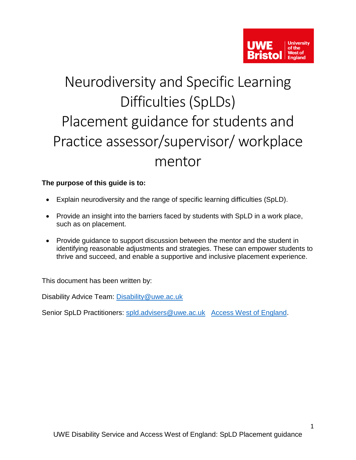

# Neurodiversity and Specific Learning Difficulties (SpLDs) Placement guidance for students and Practice assessor/supervisor/ workplace mentor

# <span id="page-0-0"></span>**The purpose of this guide is to:**

- Explain neurodiversity and the range of specific learning difficulties (SpLD).
- Provide an insight into the barriers faced by students with SpLD in a work place, such as on placement.
- Provide guidance to support discussion between the mentor and the student in identifying reasonable adjustments and strategies. These can empower students to thrive and succeed, and enable a supportive and inclusive placement experience.

This document has been written by:

Disability Advice Team: [Disability@uwe.ac.uk](mailto:Disability@uwe.ac.uk)

Senior SpLD Practitioners: [spld.advisers@uwe.ac.uk](mailto:spld.advisers@uwe.ac.uk) [Access West of England.](https://www.uwe.ac.uk/life/health-and-wellbeing/get-disability-support/contact-us/contact-awe)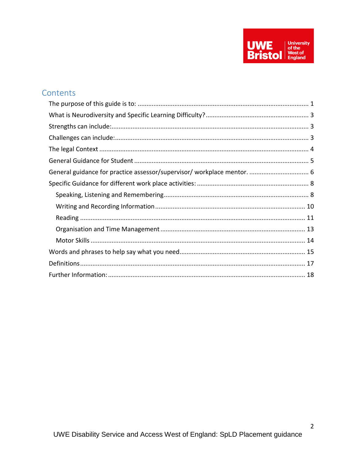

# Contents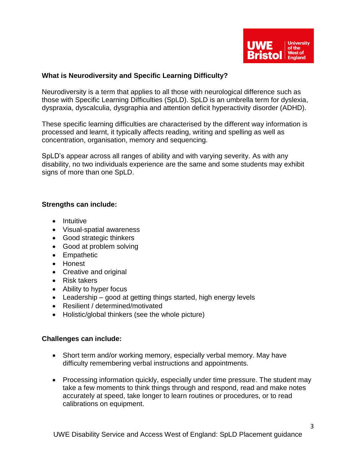

#### <span id="page-2-0"></span>**What is Neurodiversity and Specific Learning Difficulty?**

Neurodiversity is a term that applies to all those with neurological difference such as those with Specific Learning Difficulties (SpLD). SpLD is an umbrella term for dyslexia, dyspraxia, dyscalculia, dysgraphia and attention deficit hyperactivity disorder (ADHD).

These specific learning difficulties are characterised by the different way information is processed and learnt, it typically affects reading, writing and spelling as well as concentration, organisation, memory and sequencing.

SpLD's appear across all ranges of ability and with varying severity. As with any disability, no two individuals experience are the same and some students may exhibit signs of more than one SpLD.

#### <span id="page-2-1"></span>**Strengths can include:**

- Intuitive
- Visual-spatial awareness
- Good strategic thinkers
- Good at problem solving
- Empathetic
- Honest
- Creative and original
- Risk takers
- Ability to hyper focus
- Leadership good at getting things started, high energy levels
- Resilient / determined/motivated
- Holistic/global thinkers (see the whole picture)

#### <span id="page-2-2"></span>**Challenges can include:**

- Short term and/or working memory, especially verbal memory. May have difficulty remembering verbal instructions and appointments.
- Processing information quickly, especially under time pressure. The student may take a few moments to think things through and respond, read and make notes accurately at speed, take longer to learn routines or procedures, or to read calibrations on equipment.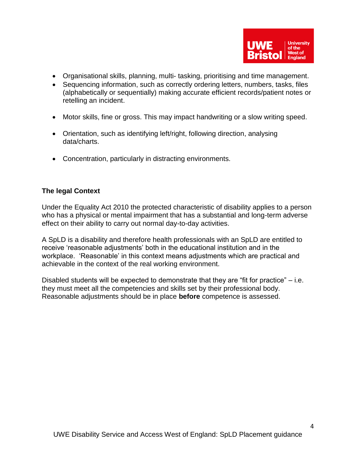- Organisational skills, planning, multi- tasking, prioritising and time management.
- Sequencing information, such as correctly ordering letters, numbers, tasks, files (alphabetically or sequentially) making accurate efficient records/patient notes or retelling an incident.
- Motor skills, fine or gross. This may impact handwriting or a slow writing speed.
- Orientation, such as identifying left/right, following direction, analysing data/charts.
- Concentration, particularly in distracting environments.

## <span id="page-3-0"></span>**The legal Context**

Under the Equality Act 2010 the protected characteristic of disability applies to a person who has a physical or mental impairment that has a substantial and long-term adverse effect on their ability to carry out normal day-to-day activities.

A SpLD is a disability and therefore health professionals with an SpLD are entitled to receive 'reasonable adjustments' both in the educational institution and in the workplace. 'Reasonable' in this context means adjustments which are practical and achievable in the context of the real working environment.

Disabled students will be expected to demonstrate that they are "fit for practice" – i.e. they must meet all the competencies and skills set by their professional body. Reasonable adjustments should be in place **before** competence is assessed.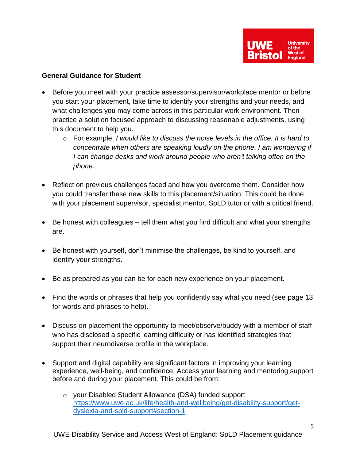

#### <span id="page-4-0"></span>**General Guidance for Student**

- Before you meet with your practice assessor/supervisor/workplace mentor or before you start your placement, take time to identify your strengths and your needs, and what challenges you may come across in this particular work environment. Then practice a solution focused approach to discussing reasonable adjustments, using this document to help you.
	- o For example: *I would like to discuss the noise levels in the office. It is hard to concentrate when others are speaking loudly on the phone. I am wondering if I can change desks and work around people who aren't talking often on the phone.*
- Reflect on previous challenges faced and how you overcome them. Consider how you could transfer these new skills to this placement/situation. This could be done with your placement supervisor, specialist mentor, SpLD tutor or with a critical friend.
- Be honest with colleagues tell them what you find difficult and what your strengths are.
- Be honest with yourself, don't minimise the challenges, be kind to yourself, and identify your strengths.
- Be as prepared as you can be for each new experience on your placement.
- Find the words or phrases that help you confidently say what you need (see page 13 for words and phrases to help).
- Discuss on placement the opportunity to meet/observe/buddy with a member of staff who has disclosed a specific learning difficulty or has identified strategies that support their neurodiverse profile in the workplace.
- Support and digital capability are significant factors in improving your learning experience, well-being, and confidence. Access your learning and mentoring support before and during your placement. This could be from:
	- o your Disabled Student Allowance (DSA) funded support [https://www.uwe.ac.uk/life/health-and-wellbeing/get-disability-support/get](https://www.uwe.ac.uk/life/health-and-wellbeing/get-disability-support/get-dyslexia-and-spld-support#section-1)[dyslexia-and-spld-support#section-1](https://www.uwe.ac.uk/life/health-and-wellbeing/get-disability-support/get-dyslexia-and-spld-support#section-1)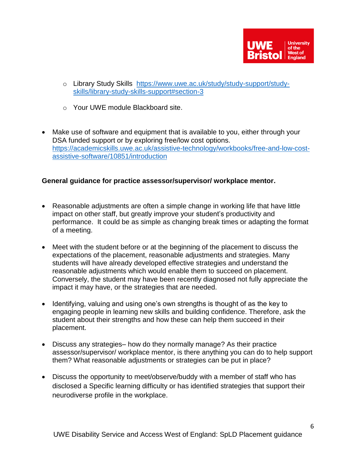

- o Library Study Skills [https://www.uwe.ac.uk/study/study-support/study](https://www.uwe.ac.uk/study/study-support/study-skills/library-study-skills-support#section-3)[skills/library-study-skills-support#section-3](https://www.uwe.ac.uk/study/study-support/study-skills/library-study-skills-support#section-3)
- o Your UWE module Blackboard site.
- Make use of software and equipment that is available to you, either through your DSA funded support or by exploring free/low cost options. [https://academicskills.uwe.ac.uk/assistive-technology/workbooks/free-and-low-cost](https://academicskills.uwe.ac.uk/assistive-technology/workbooks/free-and-low-cost-assistive-software/10851/introduction)[assistive-software/10851/introduction](https://academicskills.uwe.ac.uk/assistive-technology/workbooks/free-and-low-cost-assistive-software/10851/introduction)

## <span id="page-5-0"></span>**General guidance for practice assessor/supervisor/ workplace mentor.**

- Reasonable adjustments are often a simple change in working life that have little impact on other staff, but greatly improve your student's productivity and performance. It could be as simple as changing break times or adapting the format of a meeting.
- Meet with the student before or at the beginning of the placement to discuss the expectations of the placement, reasonable adjustments and strategies. Many students will have already developed effective strategies and understand the reasonable adjustments which would enable them to succeed on placement. Conversely, the student may have been recently diagnosed not fully appreciate the impact it may have, or the strategies that are needed.
- Identifying, valuing and using one's own strengths is thought of as the key to engaging people in learning new skills and building confidence. Therefore, ask the student about their strengths and how these can help them succeed in their placement.
- Discuss any strategies– how do they normally manage? As their practice assessor/supervisor/ workplace mentor, is there anything you can do to help support them? What reasonable adjustments or strategies can be put in place?
- Discuss the opportunity to meet/observe/buddy with a member of staff who has disclosed a Specific learning difficulty or has identified strategies that support their neurodiverse profile in the workplace.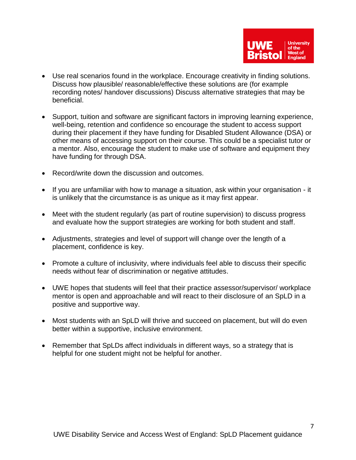

- Use real scenarios found in the workplace. Encourage creativity in finding solutions. Discuss how plausible/ reasonable/effective these solutions are (for example recording notes/ handover discussions) Discuss alternative strategies that may be beneficial.
- Support, tuition and software are significant factors in improving learning experience, well-being, retention and confidence so encourage the student to access support during their placement if they have funding for Disabled Student Allowance (DSA) or other means of accessing support on their course. This could be a specialist tutor or a mentor. Also, encourage the student to make use of software and equipment they have funding for through DSA.
- Record/write down the discussion and outcomes.
- If you are unfamiliar with how to manage a situation, ask within your organisation it is unlikely that the circumstance is as unique as it may first appear.
- Meet with the student regularly (as part of routine supervision) to discuss progress and evaluate how the support strategies are working for both student and staff.
- Adjustments, strategies and level of support will change over the length of a placement, confidence is key.
- Promote a culture of inclusivity, where individuals feel able to discuss their specific needs without fear of discrimination or negative attitudes.
- UWE hopes that students will feel that their practice assessor/supervisor/ workplace mentor is open and approachable and will react to their disclosure of an SpLD in a positive and supportive way.
- Most students with an SpLD will thrive and succeed on placement, but will do even better within a supportive, inclusive environment.
- Remember that SpLDs affect individuals in different ways, so a strategy that is helpful for one student might not be helpful for another.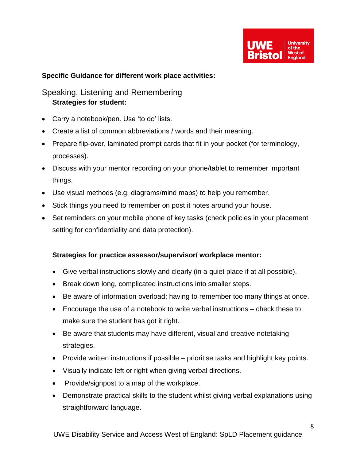

#### <span id="page-7-0"></span>**Specific Guidance for different work place activities:**

# <span id="page-7-1"></span>Speaking, Listening and Remembering **Strategies for student:**

- Carry a notebook/pen. Use 'to do' lists.
- Create a list of common abbreviations / words and their meaning.
- Prepare flip-over, laminated prompt cards that fit in your pocket (for terminology, processes).
- Discuss with your mentor recording on your phone/tablet to remember important things.
- Use visual methods (e.g. diagrams/mind maps) to help you remember.
- Stick things you need to remember on post it notes around your house.
- Set reminders on your mobile phone of key tasks (check policies in your placement setting for confidentiality and data protection).

- Give verbal instructions slowly and clearly (in a quiet place if at all possible).
- Break down long, complicated instructions into smaller steps.
- Be aware of information overload; having to remember too many things at once.
- Encourage the use of a notebook to write verbal instructions check these to make sure the student has got it right.
- Be aware that students may have different, visual and creative notetaking strategies.
- Provide written instructions if possible prioritise tasks and highlight key points.
- Visually indicate left or right when giving verbal directions.
- Provide/signpost to a map of the workplace.
- Demonstrate practical skills to the student whilst giving verbal explanations using straightforward language.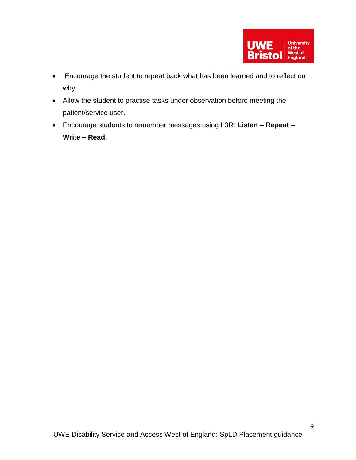

- Encourage the student to repeat back what has been learned and to reflect on why.
- Allow the student to practise tasks under observation before meeting the patient/service user.
- Encourage students to remember messages using L3R: **Listen – Repeat – Write – Read.**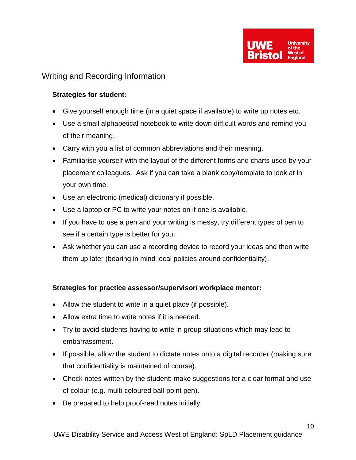

# <span id="page-9-0"></span>Writing and Recording Information

## **Strategies for student:**

- Give yourself enough time (in a quiet space if available) to write up notes etc.
- Use a small alphabetical notebook to write down difficult words and remind you of their meaning.
- Carry with you a list of common abbreviations and their meaning.
- Familiarise yourself with the layout of the different forms and charts used by your placement colleagues. Ask if you can take a blank copy/template to look at in your own time.
- Use an electronic (medical) dictionary if possible.
- Use a laptop or PC to write your notes on if one is available.
- If you have to use a pen and your writing is messy, try different types of pen to see if a certain type is better for you.
- Ask whether you can use a recording device to record your ideas and then write them up later (bearing in mind local policies around confidentiality).

- Allow the student to write in a quiet place (if possible).
- Allow extra time to write notes if it is needed.
- Try to avoid students having to write in group situations which may lead to embarrassment.
- If possible, allow the student to dictate notes onto a digital recorder (making sure that confidentiality is maintained of course).
- Check notes written by the student: make suggestions for a clear format and use of colour (e.g. multi-coloured ball-point pen).
- Be prepared to help proof-read notes initially.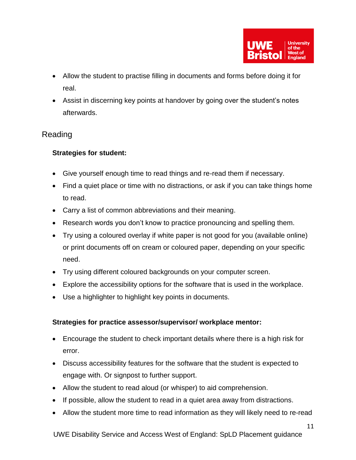

- Allow the student to practise filling in documents and forms before doing it for real.
- Assist in discerning key points at handover by going over the student's notes afterwards.

# <span id="page-10-0"></span>Reading

# **Strategies for student:**

- Give yourself enough time to read things and re-read them if necessary.
- Find a quiet place or time with no distractions, or ask if you can take things home to read.
- Carry a list of common abbreviations and their meaning.
- Research words you don't know to practice pronouncing and spelling them.
- Try using a coloured overlay if white paper is not good for you (available online) or print documents off on cream or coloured paper, depending on your specific need.
- Try using different coloured backgrounds on your computer screen.
- Explore the accessibility options for the software that is used in the workplace.
- Use a highlighter to highlight key points in documents.

- Encourage the student to check important details where there is a high risk for error.
- Discuss accessibility features for the software that the student is expected to engage with. Or signpost to further support.
- Allow the student to read aloud (or whisper) to aid comprehension.
- If possible, allow the student to read in a quiet area away from distractions.
- Allow the student more time to read information as they will likely need to re-read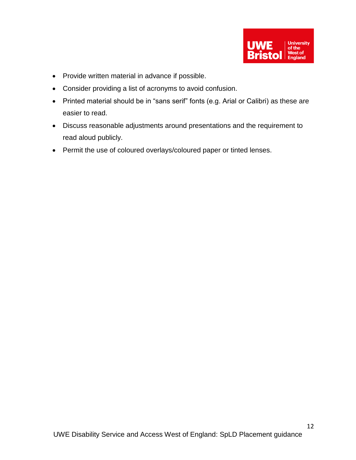

- Provide written material in advance if possible.
- Consider providing a list of acronyms to avoid confusion.
- Printed material should be in "sans serif" fonts (e.g. Arial or Calibri) as these are easier to read.
- Discuss reasonable adjustments around presentations and the requirement to read aloud publicly.
- Permit the use of coloured overlays/coloured paper or tinted lenses.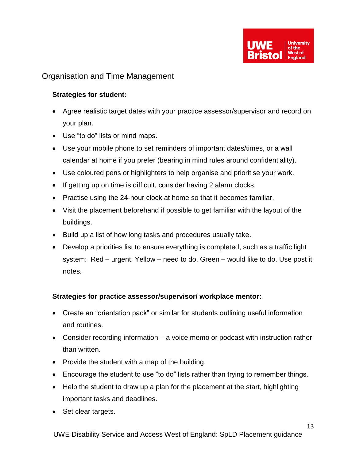

# <span id="page-12-0"></span>Organisation and Time Management

## **Strategies for student:**

- Agree realistic target dates with your practice assessor/supervisor and record on your plan.
- Use "to do" lists or mind maps.
- Use your mobile phone to set reminders of important dates/times, or a wall calendar at home if you prefer (bearing in mind rules around confidentiality).
- Use coloured pens or highlighters to help organise and prioritise your work.
- If getting up on time is difficult, consider having 2 alarm clocks.
- Practise using the 24-hour clock at home so that it becomes familiar.
- Visit the placement beforehand if possible to get familiar with the layout of the buildings.
- Build up a list of how long tasks and procedures usually take.
- Develop a priorities list to ensure everything is completed, such as a traffic light system: Red – urgent. Yellow – need to do. Green – would like to do. Use post it notes.

- Create an "orientation pack" or similar for students outlining useful information and routines.
- Consider recording information a voice memo or podcast with instruction rather than written.
- Provide the student with a map of the building.
- Encourage the student to use "to do" lists rather than trying to remember things.
- Help the student to draw up a plan for the placement at the start, highlighting important tasks and deadlines.
- Set clear targets.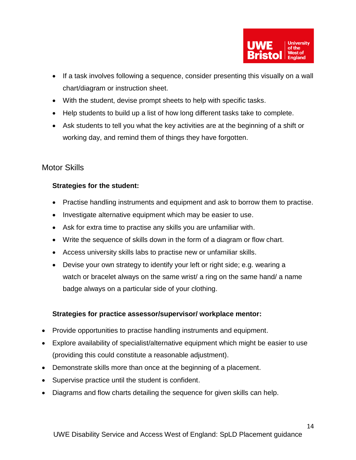

- If a task involves following a sequence, consider presenting this visually on a wall chart/diagram or instruction sheet.
- With the student, devise prompt sheets to help with specific tasks.
- Help students to build up a list of how long different tasks take to complete.
- Ask students to tell you what the key activities are at the beginning of a shift or working day, and remind them of things they have forgotten.

# <span id="page-13-0"></span>Motor Skills

## **Strategies for the student:**

- Practise handling instruments and equipment and ask to borrow them to practise.
- Investigate alternative equipment which may be easier to use.
- Ask for extra time to practise any skills you are unfamiliar with.
- Write the sequence of skills down in the form of a diagram or flow chart.
- Access university skills labs to practise new or unfamiliar skills.
- Devise your own strategy to identify your left or right side; e.g. wearing a watch or bracelet always on the same wrist/ a ring on the same hand/ a name badge always on a particular side of your clothing.

- Provide opportunities to practise handling instruments and equipment.
- Explore availability of specialist/alternative equipment which might be easier to use (providing this could constitute a reasonable adjustment).
- Demonstrate skills more than once at the beginning of a placement.
- Supervise practice until the student is confident.
- Diagrams and flow charts detailing the sequence for given skills can help.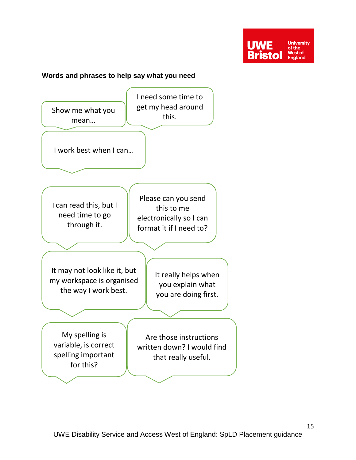

#### <span id="page-14-0"></span>**Words and phrases to help say what you need**

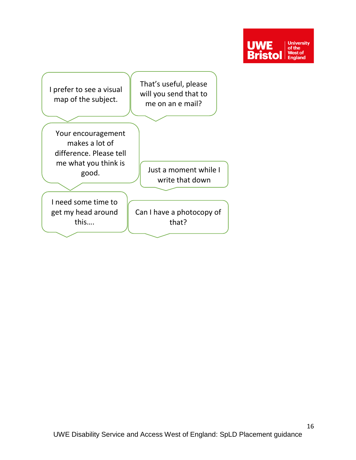

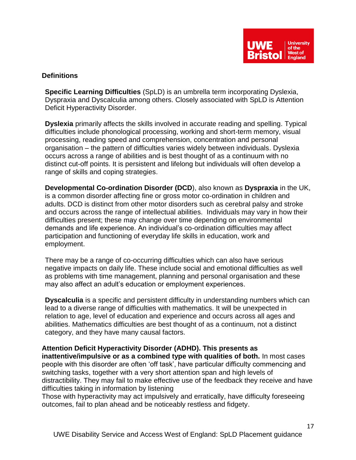

#### <span id="page-16-0"></span>**Definitions**

**Specific Learning Difficulties** (SpLD) is an umbrella term incorporating Dyslexia, Dyspraxia and Dyscalculia among others. Closely associated with SpLD is Attention Deficit Hyperactivity Disorder.

**Dyslexia** primarily affects the skills involved in accurate reading and spelling. Typical difficulties include phonological processing, working and short-term memory, visual processing, reading speed and comprehension, concentration and personal organisation – the pattern of difficulties varies widely between individuals. Dyslexia occurs across a range of abilities and is best thought of as a continuum with no distinct cut-off points. It is persistent and lifelong but individuals will often develop a range of skills and coping strategies.

**Developmental Co-ordination Disorder (DCD**), also known as **Dyspraxia** in the UK, is a common disorder affecting fine or gross motor co-ordination in children and adults. DCD is distinct from other motor disorders such as cerebral palsy and stroke and occurs across the range of intellectual abilities. Individuals may vary in how their difficulties present; these may change over time depending on environmental demands and life experience. An individual's co-ordination difficulties may affect participation and functioning of everyday life skills in education, work and employment.

There may be a range of co-occurring difficulties which can also have serious negative impacts on daily life. These include social and emotional difficulties as well as problems with time management, planning and personal organisation and these may also affect an adult's education or employment experiences.

**Dyscalculia** is a specific and persistent difficulty in understanding numbers which can lead to a diverse range of difficulties with mathematics. It will be unexpected in relation to age, level of education and experience and occurs across all ages and abilities. Mathematics difficulties are best thought of as a continuum, not a distinct category, and they have many causal factors.

**Attention Deficit Hyperactivity Disorder (ADHD). This presents as inattentive/impulsive or as a combined type with qualities of both.** In most cases people with this disorder are often 'off task', have particular difficulty commencing and switching tasks, together with a very short attention span and high levels of distractibility. They may fail to make effective use of the feedback they receive and have difficulties taking in information by listening

Those with hyperactivity may act impulsively and erratically, have difficulty foreseeing outcomes, fail to plan ahead and be noticeably restless and fidgety.